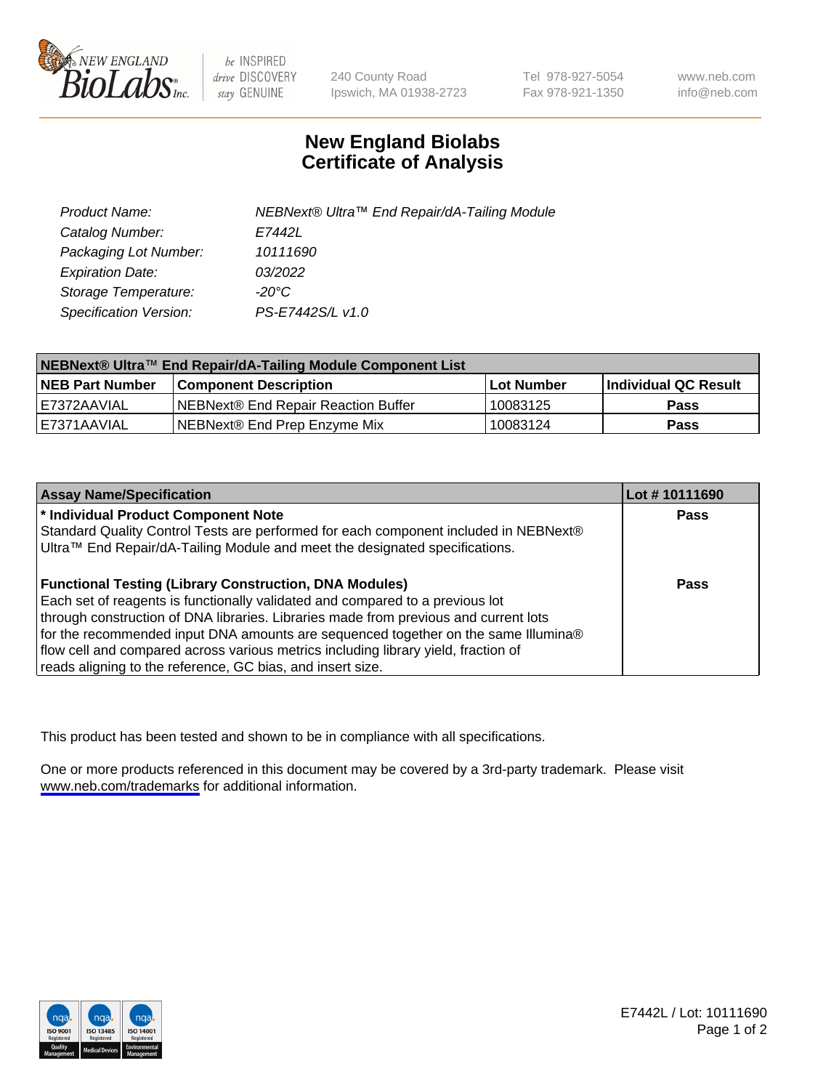

be INSPIRED drive DISCOVERY stay GENUINE

240 County Road Ipswich, MA 01938-2723 Tel 978-927-5054 Fax 978-921-1350

www.neb.com info@neb.com

## **New England Biolabs Certificate of Analysis**

| Product Name:           | NEBNext® Ultra™ End Repair/dA-Tailing Module |
|-------------------------|----------------------------------------------|
| Catalog Number:         | E7442L                                       |
| Packaging Lot Number:   | 10111690                                     |
| <b>Expiration Date:</b> | 03/2022                                      |
| Storage Temperature:    | -20°C                                        |
| Specification Version:  | PS-E7442S/L v1.0                             |

| NEBNext® Ultra™ End Repair/dA-Tailing Module Component List |                                      |                   |                       |  |
|-------------------------------------------------------------|--------------------------------------|-------------------|-----------------------|--|
| <b>NEB Part Number</b>                                      | <b>Component Description</b>         | <b>Lot Number</b> | ∣Individual QC Result |  |
| E7372AAVIAL                                                 | INEBNext® End Repair Reaction Buffer | 10083125          | <b>Pass</b>           |  |
| I E7371AAVIAL                                               | NEBNext® End Prep Enzyme Mix         | 10083124          | <b>Pass</b>           |  |

| <b>Assay Name/Specification</b>                                                      | Lot #10111690 |
|--------------------------------------------------------------------------------------|---------------|
| * Individual Product Component Note                                                  | <b>Pass</b>   |
| Standard Quality Control Tests are performed for each component included in NEBNext® |               |
| Ultra™ End Repair/dA-Tailing Module and meet the designated specifications.          |               |
| <b>Functional Testing (Library Construction, DNA Modules)</b>                        | <b>Pass</b>   |
| Each set of reagents is functionally validated and compared to a previous lot        |               |
| through construction of DNA libraries. Libraries made from previous and current lots |               |
| for the recommended input DNA amounts are sequenced together on the same Illumina®   |               |
| flow cell and compared across various metrics including library yield, fraction of   |               |
| reads aligning to the reference, GC bias, and insert size.                           |               |

This product has been tested and shown to be in compliance with all specifications.

One or more products referenced in this document may be covered by a 3rd-party trademark. Please visit <www.neb.com/trademarks>for additional information.